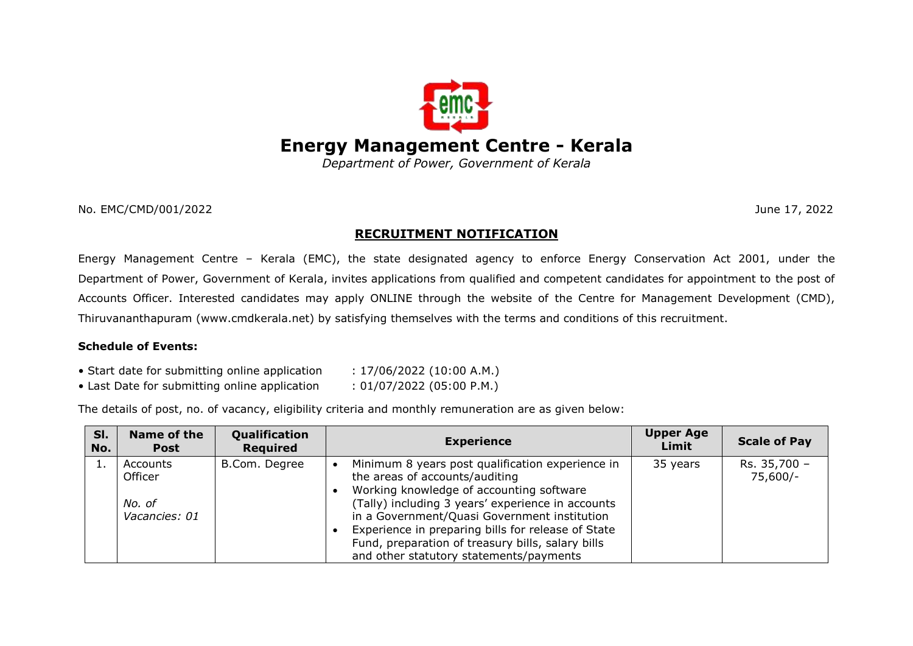

*Department of Power, Government of Kerala*

No. EMC/CMD/001/2022 June 17, 2022

# **RECRUITMENT NOTIFICATION**

Energy Management Centre – Kerala (EMC), the state designated agency to enforce Energy Conservation Act 2001, under the Department of Power, Government of Kerala, invites applications from qualified and competent candidates for appointment to the post of Accounts Officer. Interested candidates may apply ONLINE through the website of the Centre for Management Development (CMD), Thiruvananthapuram (www.cmdkerala.net) by satisfying themselves with the terms and conditions of this recruitment.

## **Schedule of Events:**

- Start date for submitting online application  $\qquad$ : 17/06/2022 (10:00 A.M.)
- Last Date for submitting online application : 01/07/2022 (05:00 P.M.)
- 
- The details of post, no. of vacancy, eligibility criteria and monthly remuneration are as given below:

| SI.<br>No. | Name of the<br><b>Post</b>                     | Qualification<br><b>Required</b> | <b>Experience</b>                                                                                                                                                                                                                                                                                                                                                                         | <b>Upper Age</b><br>Limit | <b>Scale of Pay</b>      |
|------------|------------------------------------------------|----------------------------------|-------------------------------------------------------------------------------------------------------------------------------------------------------------------------------------------------------------------------------------------------------------------------------------------------------------------------------------------------------------------------------------------|---------------------------|--------------------------|
|            | Accounts<br>Officer<br>No. of<br>Vacancies: 01 | B.Com. Degree                    | Minimum 8 years post qualification experience in<br>the areas of accounts/auditing<br>Working knowledge of accounting software<br>(Tally) including 3 years' experience in accounts<br>in a Government/Quasi Government institution<br>Experience in preparing bills for release of State<br>Fund, preparation of treasury bills, salary bills<br>and other statutory statements/payments | 35 years                  | Rs. 35,700 -<br>75,600/- |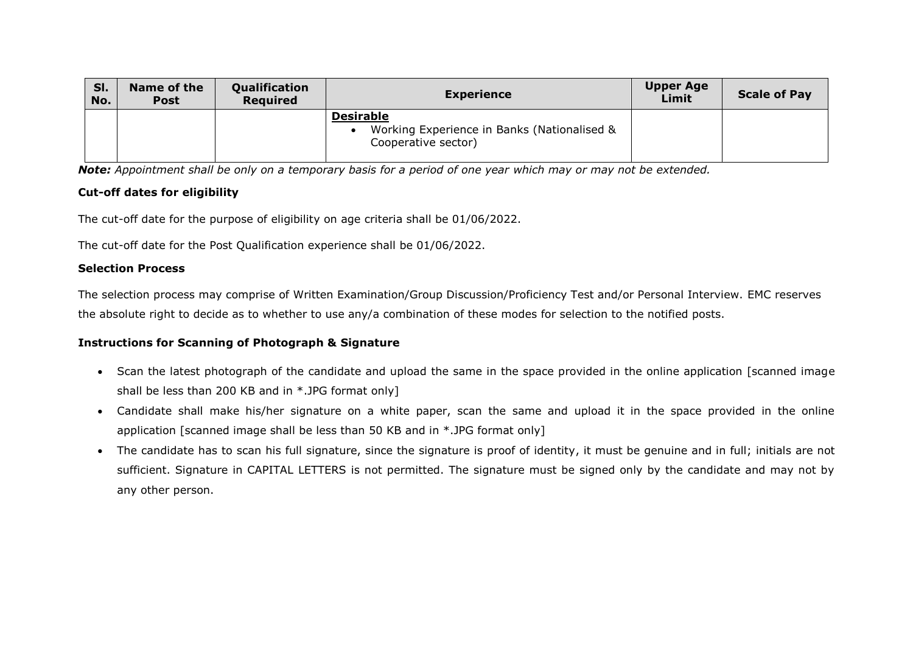| SI.<br>No. | Name of the<br><b>Post</b> | Qualification<br><b>Required</b> | <b>Experience</b>                                                                      | <b>Upper Age</b><br>Limit | <b>Scale of Pay</b> |
|------------|----------------------------|----------------------------------|----------------------------------------------------------------------------------------|---------------------------|---------------------|
|            |                            |                                  | <b>Desirable</b><br>Working Experience in Banks (Nationalised &<br>Cooperative sector) |                           |                     |

*Note: Appointment shall be only on a temporary basis for a period of one year which may or may not be extended.*

## **Cut-off dates for eligibility**

The cut-off date for the purpose of eligibility on age criteria shall be 01/06/2022.

The cut-off date for the Post Qualification experience shall be 01/06/2022.

### **Selection Process**

The selection process may comprise of Written Examination/Group Discussion/Proficiency Test and/or Personal Interview. EMC reserves the absolute right to decide as to whether to use any/a combination of these modes for selection to the notified posts.

## **Instructions for Scanning of Photograph & Signature**

- Scan the latest photograph of the candidate and upload the same in the space provided in the online application [scanned image shall be less than 200 KB and in \*.JPG format only]
- Candidate shall make his/her signature on a white paper, scan the same and upload it in the space provided in the online application [scanned image shall be less than 50 KB and in \*.JPG format only]
- The candidate has to scan his full signature, since the signature is proof of identity, it must be genuine and in full; initials are not sufficient. Signature in CAPITAL LETTERS is not permitted. The signature must be signed only by the candidate and may not by any other person.